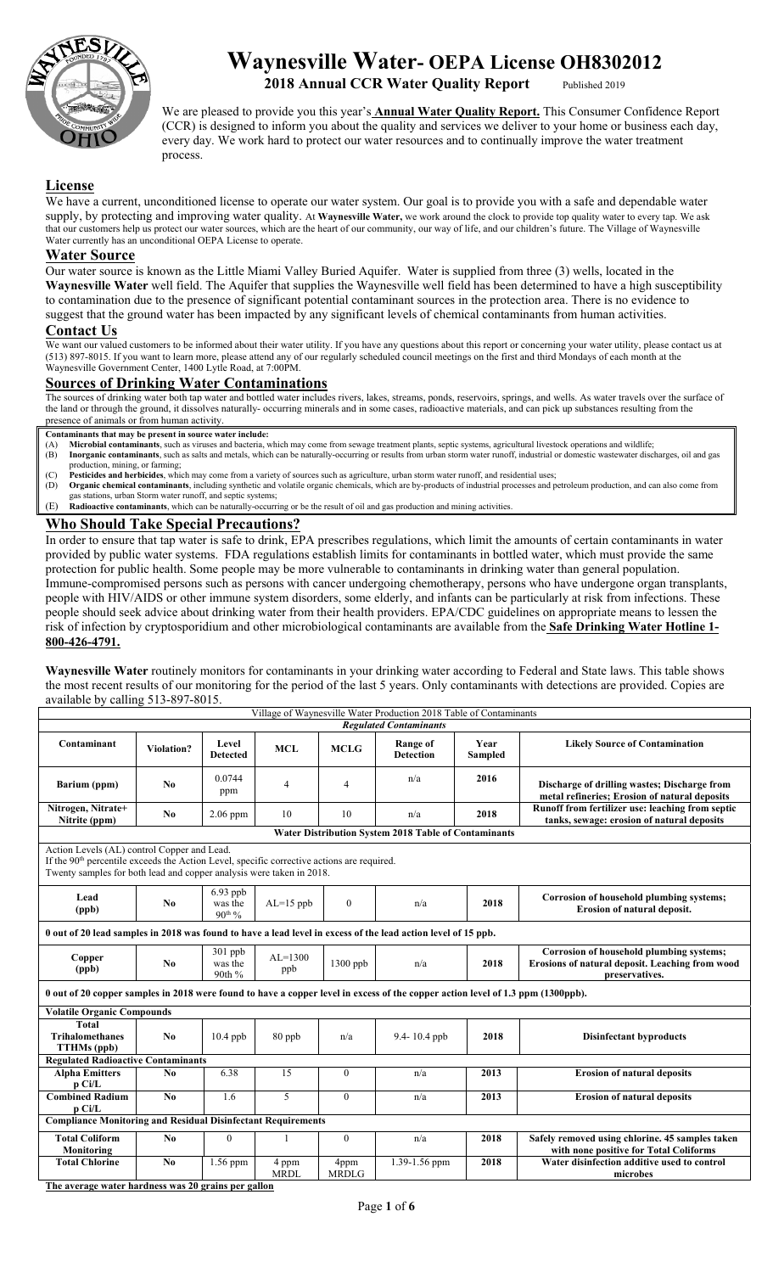

# **Waynesville Water- OEPA License OH8302012**

## **2018 Annual CCR Water Quality Report**

We are pleased to provide you this year's **Annual Water Quality Report.** This Consumer Confidence Report (CCR) is designed to inform you about the quality and services we deliver to your home or business each day, every day. We work hard to protect our water resources and to continually improve the water treatment process.

#### **License**

We have a current, unconditioned license to operate our water system. Our goal is to provide you with a safe and dependable water supply, by protecting and improving water quality. At **Waynesville Water,** we work around the clock to provide top quality water to every tap. We ask that our customers help us protect our water sources, which are the heart of our community, our way of life, and our children's future. The Village of Waynesville Water currently has an unconditional OEPA License to operate.

#### **Water Source**

Our water source is known as the Little Miami Valley Buried Aquifer. Water is supplied from three (3) wells, located in the **Waynesville Water** well field. The Aquifer that supplies the Waynesville well field has been determined to have a high susceptibility to contamination due to the presence of significant potential contaminant sources in the protection area. There is no evidence to suggest that the ground water has been impacted by any significant levels of chemical contaminants from human activities.

#### **Contact Us**

We want our valued customers to be informed about their water utility. If you have any questions about this report or concerning your water utility, please contact us at (513) 897-8015. If you want to learn more, please attend any of our regularly scheduled council meetings on the first and third Mondays of each month at the Waynesville Government Center, 1400 Lytle Road, at 7:00PM.

#### **Sources of Drinking Water Contaminations**

The sources of drinking water both tap water and bottled water includes rivers, lakes, streams, ponds, reservoirs, springs, and wells. As water travels over the surface of the land or through the ground, it dissolves naturally- occurring minerals and in some cases, radioactive materials, and can pick up substances resulting from the presence of animals or from human activity.

- **Contaminants that may be present in source water include:**
- (A) **Microbial contaminants**, such as viruses and bacteria, which may come from sewage treatment plants, septic systems, agricultural livestock operations and wildlife; (B) Inorganic contaminants, such as salts and metals, which can be naturally-occurring or results from urban storm water runoff, industrial or domestic wastewater discharges, oil and gas production, mining, or farming;
- 
- (C) **Pesticides and herbicides**, which may come from a variety of sources such as agriculture, urban storm water runoff, and residential uses; (D) **Organic chemical contaminants**, including synthetic and volatile organic chemicals, which are by-products of industrial processes and petroleum production, and can also come from gas stations, urban Storm water runoff, and septic systems;
- (E) **Radioactive contaminants**, which can be naturally-occurring or be the result of oil and gas production and mining activities.

#### **Who Should Take Special Precautions?**

In order to ensure that tap water is safe to drink, EPA prescribes regulations, which limit the amounts of certain contaminants in water provided by public water systems. FDA regulations establish limits for contaminants in bottled water, which must provide the same protection for public health. Some people may be more vulnerable to contaminants in drinking water than general population. Immune-compromised persons such as persons with cancer undergoing chemotherapy, persons who have undergone organ transplants, people with HIV/AIDS or other immune system disorders, some elderly, and infants can be particularly at risk from infections. These people should seek advice about drinking water from their health providers. EPA/CDC guidelines on appropriate means to lessen the risk of infection by cryptosporidium and other microbiological contaminants are available from the **Safe Drinking Water Hotline 1- 800-426-4791.** 

**Waynesville Water** routinely monitors for contaminants in your drinking water according to Federal and State laws. This table shows the most recent results of our monitoring for the period of the last 5 years. Only contaminants with detections are provided. Copies are available by calling 513-897-8015.

| Village of Waynesville Water Production 2018 Table of Contaminants                                                                                                                                                            |                                                                     |                                      |                      |                      |                                                      |                        |                                                                                                               |  |  |  |  |
|-------------------------------------------------------------------------------------------------------------------------------------------------------------------------------------------------------------------------------|---------------------------------------------------------------------|--------------------------------------|----------------------|----------------------|------------------------------------------------------|------------------------|---------------------------------------------------------------------------------------------------------------|--|--|--|--|
|                                                                                                                                                                                                                               | <b>Regulated Contaminants</b>                                       |                                      |                      |                      |                                                      |                        |                                                                                                               |  |  |  |  |
| Contaminant                                                                                                                                                                                                                   | <b>Violation?</b>                                                   | Level<br><b>Detected</b>             | <b>MCL</b>           | <b>MCLG</b>          | <b>Range of</b><br><b>Detection</b>                  | Year<br><b>Sampled</b> | <b>Likely Source of Contamination</b>                                                                         |  |  |  |  |
| Barium (ppm)                                                                                                                                                                                                                  | No                                                                  | 0.0744<br>ppm                        | 4                    | 4                    | n/a                                                  | 2016                   | Discharge of drilling wastes; Discharge from<br>metal refineries; Erosion of natural deposits                 |  |  |  |  |
| Nitrogen, Nitrate+<br>Nitrite (ppm)                                                                                                                                                                                           | No                                                                  | $2.06$ ppm                           | 10                   | 10                   | n/a                                                  | 2018                   | Runoff from fertilizer use: leaching from septic<br>tanks, sewage: erosion of natural deposits                |  |  |  |  |
|                                                                                                                                                                                                                               |                                                                     |                                      |                      |                      | Water Distribution System 2018 Table of Contaminants |                        |                                                                                                               |  |  |  |  |
| Action Levels (AL) control Copper and Lead.<br>If the 90 <sup>th</sup> percentile exceeds the Action Level, specific corrective actions are required.<br>Twenty samples for both lead and copper analysis were taken in 2018. |                                                                     |                                      |                      |                      |                                                      |                        |                                                                                                               |  |  |  |  |
| Lead<br>(ppb)                                                                                                                                                                                                                 | No                                                                  | $6.93$ ppb<br>was the<br>$90^{th}$ % | $AL=15$ ppb          | $\mathbf{0}$         | n/a                                                  | 2018                   | Corrosion of household plumbing systems;<br>Erosion of natural deposit.                                       |  |  |  |  |
| 0 out of 20 lead samples in 2018 was found to have a lead level in excess of the lead action level of 15 ppb.                                                                                                                 |                                                                     |                                      |                      |                      |                                                      |                        |                                                                                                               |  |  |  |  |
| Copper<br>(ppb)                                                                                                                                                                                                               | No                                                                  | 301 ppb<br>was the<br>90th %         | $AL=1300$<br>ppb     | 1300 ppb             | n/a                                                  | 2018                   | Corrosion of household plumbing systems;<br>Erosions of natural deposit. Leaching from wood<br>preservatives. |  |  |  |  |
| 0 out of 20 copper samples in 2018 were found to have a copper level in excess of the copper action level of 1.3 ppm (1300ppb).                                                                                               |                                                                     |                                      |                      |                      |                                                      |                        |                                                                                                               |  |  |  |  |
| <b>Volatile Organic Compounds</b>                                                                                                                                                                                             |                                                                     |                                      |                      |                      |                                                      |                        |                                                                                                               |  |  |  |  |
| <b>Total</b><br><b>Trihalomethanes</b><br>TTHMs (ppb)                                                                                                                                                                         | N <sub>0</sub>                                                      | $10.4$ ppb                           | 80 ppb               | n/a                  | 9.4-10.4 ppb                                         | 2018                   | <b>Disinfectant byproducts</b>                                                                                |  |  |  |  |
| <b>Regulated Radioactive Contaminants</b>                                                                                                                                                                                     |                                                                     |                                      |                      |                      |                                                      |                        |                                                                                                               |  |  |  |  |
| <b>Alpha Emitters</b><br>p Ci/L                                                                                                                                                                                               | No                                                                  | 6.38                                 | 15                   | $\boldsymbol{0}$     | n/a                                                  | 2013                   | <b>Erosion of natural deposits</b>                                                                            |  |  |  |  |
| <b>Combined Radium</b><br>p Ci/L                                                                                                                                                                                              | No                                                                  | 1.6                                  | 5                    | $\mathbf{0}$         | n/a                                                  | 2013                   | <b>Erosion of natural deposits</b>                                                                            |  |  |  |  |
|                                                                                                                                                                                                                               | <b>Compliance Monitoring and Residual Disinfectant Requirements</b> |                                      |                      |                      |                                                      |                        |                                                                                                               |  |  |  |  |
| <b>Total Coliform</b><br>Monitoring                                                                                                                                                                                           | No                                                                  | $\mathbf{0}$                         | 1                    | $\boldsymbol{0}$     | n/a                                                  | 2018                   | Safely removed using chlorine. 45 samples taken<br>with none positive for Total Coliforms                     |  |  |  |  |
| <b>Total Chlorine</b>                                                                                                                                                                                                         | No                                                                  | 1.56 ppm                             | 4 ppm<br><b>MRDL</b> | 4ppm<br><b>MRDLG</b> | 1.39-1.56 ppm                                        | 2018                   | Water disinfection additive used to control<br>microbes                                                       |  |  |  |  |

**The average water hardness was 20 grains per gallon**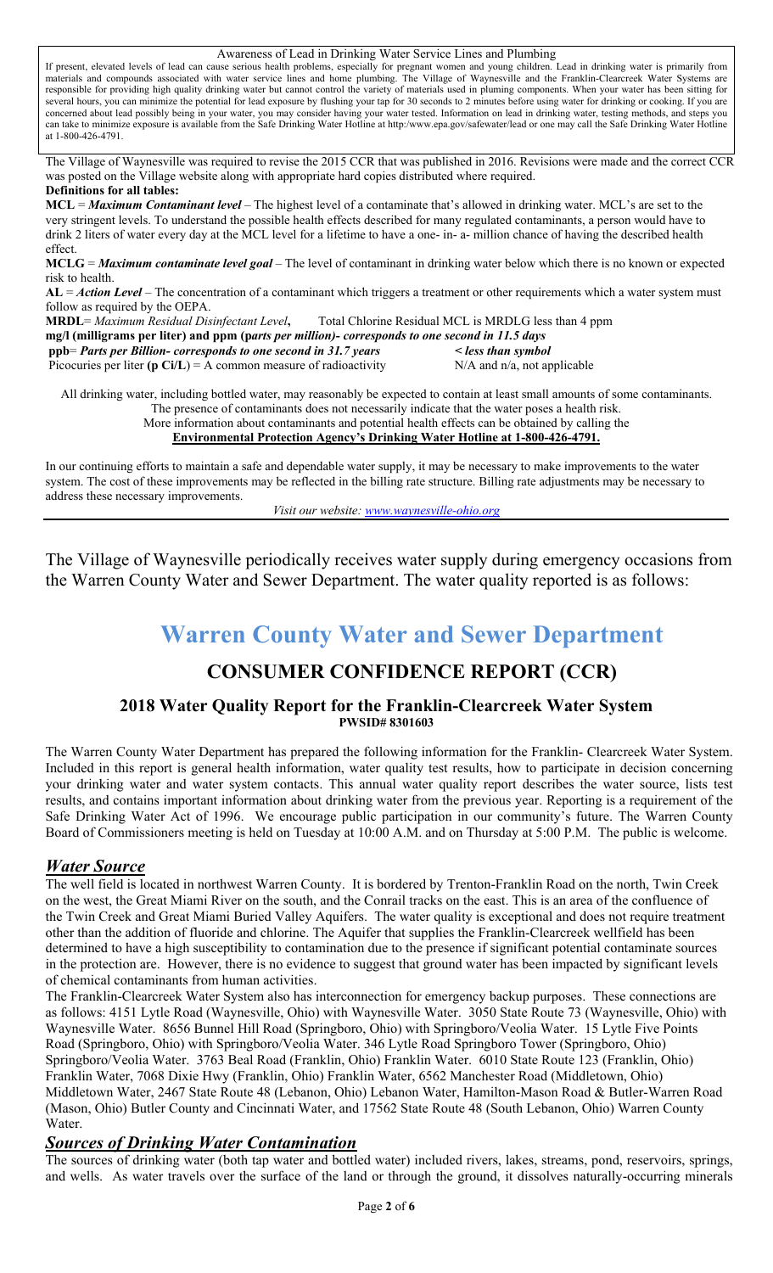Awareness of Lead in Drinking Water Service Lines and Plumbing If present, elevated levels of lead can cause serious health problems, especially for pregnant women and young children. Lead in drinking water is primarily from materials and compounds associated with water service lines and home plumbing. The Village of Waynesville and the Franklin-Clearcreek Water Systems are responsible for providing high quality drinking water but cannot control the variety of materials used in pluming components. When your water has been sitting for several hours, you can minimize the potential for lead exposure by flushing your tap for 30 seconds to 2 minutes before using water for drinking or cooking. If you are concerned about lead possibly being in your water, you may consider having your water tested. Information on lead in drinking water, testing methods, and steps you can take to minimize exposure is available from the Safe Drinking Water Hotline at http:/www.epa.gov/safewater/lead or one may call the Safe Drinking Water Hotline at 1-800-426-4791. The Village of Waynesville was required to revise the 2015 CCR that was published in 2016. Revisions were made and the correct CCR was posted on the Village website along with appropriate hard copies distributed where required. **Definitions for all tables: MCL** = *Maximum Contaminant level* – The highest level of a contaminate that's allowed in drinking water. MCL's are set to the very stringent levels. To understand the possible health effects described for many regulated contaminants, a person would have to drink 2 liters of water every day at the MCL level for a lifetime to have a one- in- a- million chance of having the described health effect. **MCLG** = *Maximum contaminate level goal –* The level of contaminant in drinking water below which there is no known or expected risk to health. **AL** = *Action Level* – The concentration of a contaminant which triggers a treatment or other requirements which a water system must follow as required by the OEPA. **MRDL**= *Maximum Residual Disinfectant Level***,** Total Chlorine Residual MCL is MRDLG less than 4 ppm **mg/l (milligrams per liter) and ppm (p***arts per million)- corresponds to one second in 11.5 days*  **ppb**= *Parts per Billion- corresponds to one second in 31.7 years < less than symbol*  Picocuries per liter  $(p Ci/L) = A$  common measure of radioactivity  $N/A$  and  $n/a$ , not applicable All drinking water, including bottled water, may reasonably be expected to contain at least small amounts of some contaminants. The presence of contaminants does not necessarily indicate that the water poses a health risk. More information about contaminants and potential health effects can be obtained by calling the **Environmental Protection Agency's Drinking Water Hotline at 1-800-426-4791.**  In our continuing efforts to maintain a safe and dependable water supply, it may be necessary to make improvements to the water system. The cost of these improvements may be reflected in the billing rate structure. Billing rate adjustments may be necessary to address these necessary improvements.

*Visit our website: www.waynesville-ohio.org*

The Village of Waynesville periodically receives water supply during emergency occasions from the Warren County Water and Sewer Department. The water quality reported is as follows:

## **Warren County Water and Sewer Department**

## **CONSUMER CONFIDENCE REPORT (CCR)**

#### **2018 Water Quality Report for the Franklin-Clearcreek Water System PWSID# 8301603**

The Warren County Water Department has prepared the following information for the Franklin- Clearcreek Water System. Included in this report is general health information, water quality test results, how to participate in decision concerning your drinking water and water system contacts. This annual water quality report describes the water source, lists test results, and contains important information about drinking water from the previous year. Reporting is a requirement of the Safe Drinking Water Act of 1996. We encourage public participation in our community's future. The Warren County Board of Commissioners meeting is held on Tuesday at 10:00 A.M. and on Thursday at 5:00 P.M. The public is welcome.

## *Water Source*

The well field is located in northwest Warren County. It is bordered by Trenton-Franklin Road on the north, Twin Creek on the west, the Great Miami River on the south, and the Conrail tracks on the east. This is an area of the confluence of the Twin Creek and Great Miami Buried Valley Aquifers. The water quality is exceptional and does not require treatment other than the addition of fluoride and chlorine. The Aquifer that supplies the Franklin-Clearcreek wellfield has been determined to have a high susceptibility to contamination due to the presence if significant potential contaminate sources in the protection are. However, there is no evidence to suggest that ground water has been impacted by significant levels of chemical contaminants from human activities.

The Franklin-Clearcreek Water System also has interconnection for emergency backup purposes. These connections are as follows: 4151 Lytle Road (Waynesville, Ohio) with Waynesville Water. 3050 State Route 73 (Waynesville, Ohio) with Waynesville Water. 8656 Bunnel Hill Road (Springboro, Ohio) with Springboro/Veolia Water. 15 Lytle Five Points Road (Springboro, Ohio) with Springboro/Veolia Water. 346 Lytle Road Springboro Tower (Springboro, Ohio) Springboro/Veolia Water. 3763 Beal Road (Franklin, Ohio) Franklin Water. 6010 State Route 123 (Franklin, Ohio) Franklin Water, 7068 Dixie Hwy (Franklin, Ohio) Franklin Water, 6562 Manchester Road (Middletown, Ohio) Middletown Water, 2467 State Route 48 (Lebanon, Ohio) Lebanon Water, Hamilton-Mason Road & Butler-Warren Road (Mason, Ohio) Butler County and Cincinnati Water, and 17562 State Route 48 (South Lebanon, Ohio) Warren County Water.

## *Sources of Drinking Water Contamination*

The sources of drinking water (both tap water and bottled water) included rivers, lakes, streams, pond, reservoirs, springs, and wells. As water travels over the surface of the land or through the ground, it dissolves naturally-occurring minerals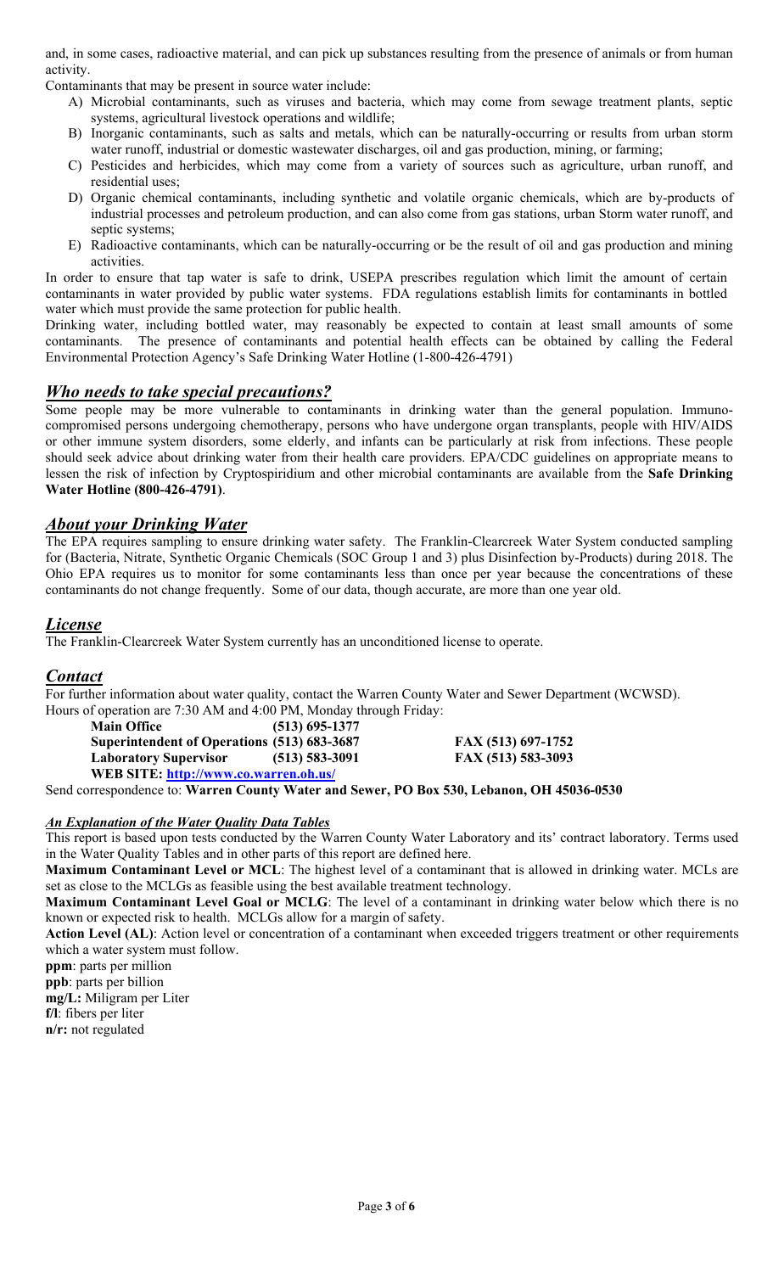and, in some cases, radioactive material, and can pick up substances resulting from the presence of animals or from human activity.

Contaminants that may be present in source water include:

- A) Microbial contaminants, such as viruses and bacteria, which may come from sewage treatment plants, septic systems, agricultural livestock operations and wildlife;
- B) Inorganic contaminants, such as salts and metals, which can be naturally-occurring or results from urban storm water runoff, industrial or domestic wastewater discharges, oil and gas production, mining, or farming;
- C) Pesticides and herbicides, which may come from a variety of sources such as agriculture, urban runoff, and residential uses;
- D) Organic chemical contaminants, including synthetic and volatile organic chemicals, which are by-products of industrial processes and petroleum production, and can also come from gas stations, urban Storm water runoff, and septic systems;
- E) Radioactive contaminants, which can be naturally-occurring or be the result of oil and gas production and mining activities.

In order to ensure that tap water is safe to drink, USEPA prescribes regulation which limit the amount of certain contaminants in water provided by public water systems. FDA regulations establish limits for contaminants in bottled water which must provide the same protection for public health.

Drinking water, including bottled water, may reasonably be expected to contain at least small amounts of some contaminants. The presence of contaminants and potential health effects can be obtained by calling the Federal Environmental Protection Agency's Safe Drinking Water Hotline (1-800-426-4791)

## *Who needs to take special precautions?*

Some people may be more vulnerable to contaminants in drinking water than the general population. Immunocompromised persons undergoing chemotherapy, persons who have undergone organ transplants, people with HIV/AIDS or other immune system disorders, some elderly, and infants can be particularly at risk from infections. These people should seek advice about drinking water from their health care providers. EPA/CDC guidelines on appropriate means to lessen the risk of infection by Cryptospiridium and other microbial contaminants are available from the **Safe Drinking Water Hotline (800-426-4791)**.

## *About your Drinking Water*

The EPA requires sampling to ensure drinking water safety. The Franklin-Clearcreek Water System conducted sampling for (Bacteria, Nitrate, Synthetic Organic Chemicals (SOC Group 1 and 3) plus Disinfection by-Products) during 2018. The Ohio EPA requires us to monitor for some contaminants less than once per year because the concentrations of these contaminants do not change frequently. Some of our data, though accurate, are more than one year old.

## *License*

The Franklin-Clearcreek Water System currently has an unconditioned license to operate.

## *Contact*

For further information about water quality, contact the Warren County Water and Sewer Department (WCWSD). Hours of operation are 7:30 AM and 4:00 PM, Monday through Friday:

| <b>Main Office</b>                          | $(513)$ 695-1377   |
|---------------------------------------------|--------------------|
| Superintendent of Operations (513) 683-3687 |                    |
| <b>Laboratory Supervisor</b>                | $(513) 583 - 3091$ |
| WEB SITE: http://www.co.warren.oh.us/       |                    |

**Superintendent of Operations (513) 683-3687 FAX (513) 697-1752 Laboratory Supervisor (513) 583-3091 FAX (513) 583-3093** 

Send correspondence to: **Warren County Water and Sewer, PO Box 530, Lebanon, OH 45036-0530** 

#### *An Explanation of the Water Quality Data Tables*

This report is based upon tests conducted by the Warren County Water Laboratory and its' contract laboratory. Terms used in the Water Quality Tables and in other parts of this report are defined here.

**Maximum Contaminant Level or MCL**: The highest level of a contaminant that is allowed in drinking water. MCLs are set as close to the MCLGs as feasible using the best available treatment technology.

**Maximum Contaminant Level Goal or MCLG**: The level of a contaminant in drinking water below which there is no known or expected risk to health. MCLGs allow for a margin of safety.

**Action Level (AL)**: Action level or concentration of a contaminant when exceeded triggers treatment or other requirements which a water system must follow.

**ppm**: parts per million **ppb**: parts per billion

**mg/L:** Miligram per Liter

**f/l**: fibers per liter

**n/r:** not regulated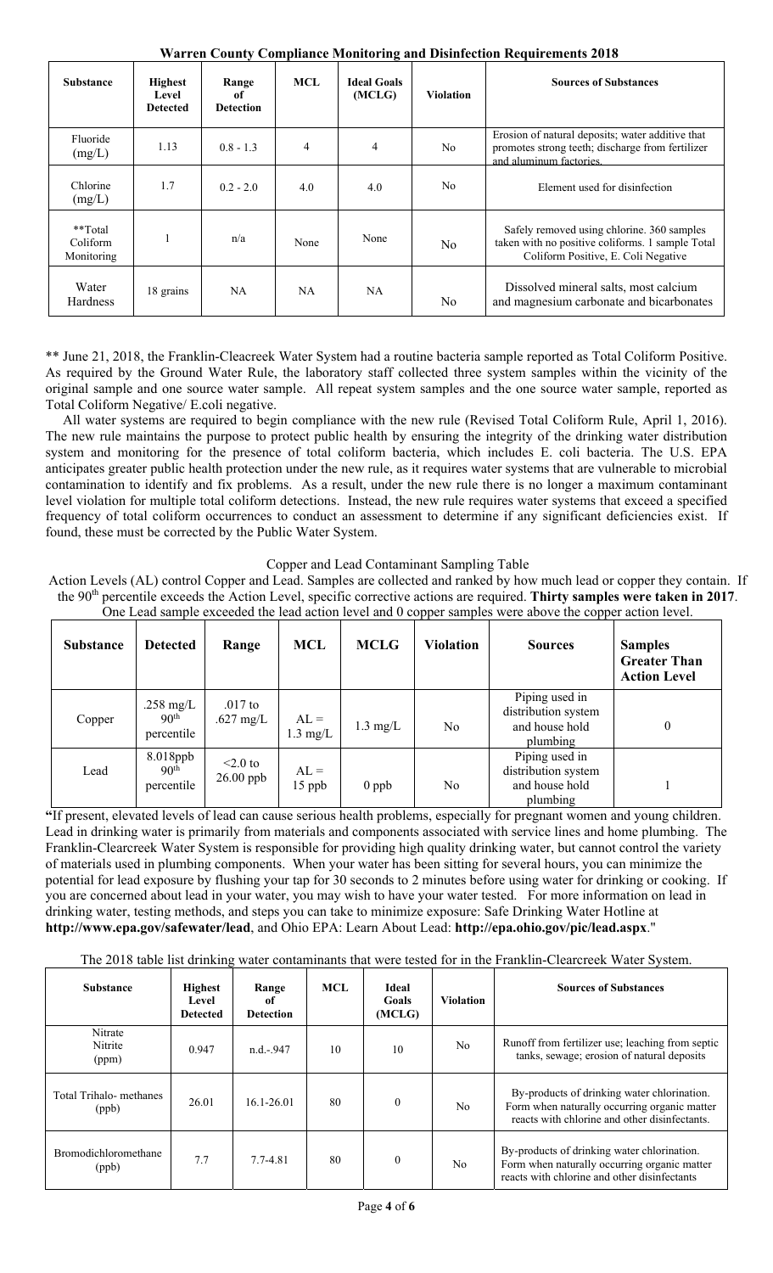| <b>Substance</b>                  | <b>Highest</b><br>Level<br><b>Detected</b> | Range<br>оf<br><b>Detection</b> | MCL            | <b>Ideal Goals</b><br>(MCLG) | <b>Violation</b> | <b>Sources of Substances</b>                                                                                                          |
|-----------------------------------|--------------------------------------------|---------------------------------|----------------|------------------------------|------------------|---------------------------------------------------------------------------------------------------------------------------------------|
| Fluoride<br>(mg/L)                | 1.13                                       | $0.8 - 1.3$                     | $\overline{4}$ | 4                            | N <sub>0</sub>   | Erosion of natural deposits; water additive that<br>promotes strong teeth; discharge from fertilizer<br>and aluminum factories.       |
| Chlorine<br>(mg/L)                | 1.7                                        | $0.2 - 2.0$                     | 4.0            | 4.0                          | N <sub>0</sub>   | Element used for disinfection                                                                                                         |
| **Total<br>Coliform<br>Monitoring |                                            | n/a                             | None           | None                         | N <sub>0</sub>   | Safely removed using chlorine. 360 samples<br>taken with no positive coliforms. 1 sample Total<br>Coliform Positive, E. Coli Negative |
| Water<br>Hardness                 | 18 grains                                  | <b>NA</b>                       | NA.            | <b>NA</b>                    | N <sub>0</sub>   | Dissolved mineral salts, most calcium<br>and magnesium carbonate and bicarbonates                                                     |

**Warren County Compliance Monitoring and Disinfection Requirements 2018** 

\*\* June 21, 2018, the Franklin-Cleacreek Water System had a routine bacteria sample reported as Total Coliform Positive. As required by the Ground Water Rule, the laboratory staff collected three system samples within the vicinity of the original sample and one source water sample. All repeat system samples and the one source water sample, reported as Total Coliform Negative/ E.coli negative.

 All water systems are required to begin compliance with the new rule (Revised Total Coliform Rule, April 1, 2016). The new rule maintains the purpose to protect public health by ensuring the integrity of the drinking water distribution system and monitoring for the presence of total coliform bacteria, which includes E. coli bacteria. The U.S. EPA anticipates greater public health protection under the new rule, as it requires water systems that are vulnerable to microbial contamination to identify and fix problems. As a result, under the new rule there is no longer a maximum contaminant level violation for multiple total coliform detections. Instead, the new rule requires water systems that exceed a specified frequency of total coliform occurrences to conduct an assessment to determine if any significant deficiencies exist. If found, these must be corrected by the Public Water System.

Copper and Lead Contaminant Sampling Table

Action Levels (AL) control Copper and Lead. Samples are collected and ranked by how much lead or copper they contain. If the 90th percentile exceeds the Action Level, specific corrective actions are required. **Thirty samples were taken in 2017**. One Lead sample exceeded the lead action level and 0 copper samples were above the copper action level.

| <b>Substance</b> | <b>Detected</b>                             | Range                        | <b>MCL</b>                   | <b>MCLG</b>        | <b>Violation</b> | <b>Sources</b>                                                      | <b>Samples</b><br><b>Greater Than</b><br><b>Action Level</b> |
|------------------|---------------------------------------------|------------------------------|------------------------------|--------------------|------------------|---------------------------------------------------------------------|--------------------------------------------------------------|
| Copper           | .258 mg/L<br>90 <sup>th</sup><br>percentile | $.017$ to<br>.627 mg/L       | $AL =$<br>$1.3 \text{ mg/L}$ | $1.3 \text{ mg/L}$ | No               | Piping used in<br>distribution system<br>and house hold<br>plumbing | $\theta$                                                     |
| Lead             | 8.018ppb<br>90 <sup>th</sup><br>percentile  | $\leq 2.0$ to<br>$26.00$ ppb | $AL =$<br>$15$ ppb           | $0$ ppb            | No               | Piping used in<br>distribution system<br>and house hold<br>plumbing |                                                              |

**"**If present, elevated levels of lead can cause serious health problems, especially for pregnant women and young children. Lead in drinking water is primarily from materials and components associated with service lines and home plumbing. The Franklin-Clearcreek Water System is responsible for providing high quality drinking water, but cannot control the variety of materials used in plumbing components. When your water has been sitting for several hours, you can minimize the potential for lead exposure by flushing your tap for 30 seconds to 2 minutes before using water for drinking or cooking. If you are concerned about lead in your water, you may wish to have your water tested. For more information on lead in drinking water, testing methods, and steps you can take to minimize exposure: Safe Drinking Water Hotline at **http://www.epa.gov/safewater/lead**, and Ohio EPA: Learn About Lead: **http://epa.ohio.gov/pic/lead.aspx**."

The 2018 table list drinking water contaminants that were tested for in the Franklin-Clearcreek Water System.

| <b>Substance</b>                     | <b>Highest</b><br>Level<br><b>Detected</b> | Range<br>of<br><b>Detection</b> | <b>MCL</b> | <b>Ideal</b><br>Goals<br>(MCLG) | <b>Violation</b> | <b>Sources of Substances</b>                                                                                                                 |
|--------------------------------------|--------------------------------------------|---------------------------------|------------|---------------------------------|------------------|----------------------------------------------------------------------------------------------------------------------------------------------|
| Nitrate<br>Nitrite<br>(ppm)          | 0.947                                      | $n.d.-947$                      | 10         | 10                              | No.              | Runoff from fertilizer use; leaching from septic<br>tanks, sewage; erosion of natural deposits                                               |
| Total Trihalo- methanes<br>(ppb)     | 26.01                                      | $16.1 - 26.01$                  | 80         | $\mathbf{0}$                    | N <sub>o</sub>   | By-products of drinking water chlorination.<br>Form when naturally occurring organic matter<br>reacts with chlorine and other disinfectants. |
| <b>Bromodichloromethane</b><br>(ppb) | 7.7                                        | 7.7-4.81                        | 80         | $\mathbf{0}$                    | No               | By-products of drinking water chlorination.<br>Form when naturally occurring organic matter<br>reacts with chlorine and other disinfectants  |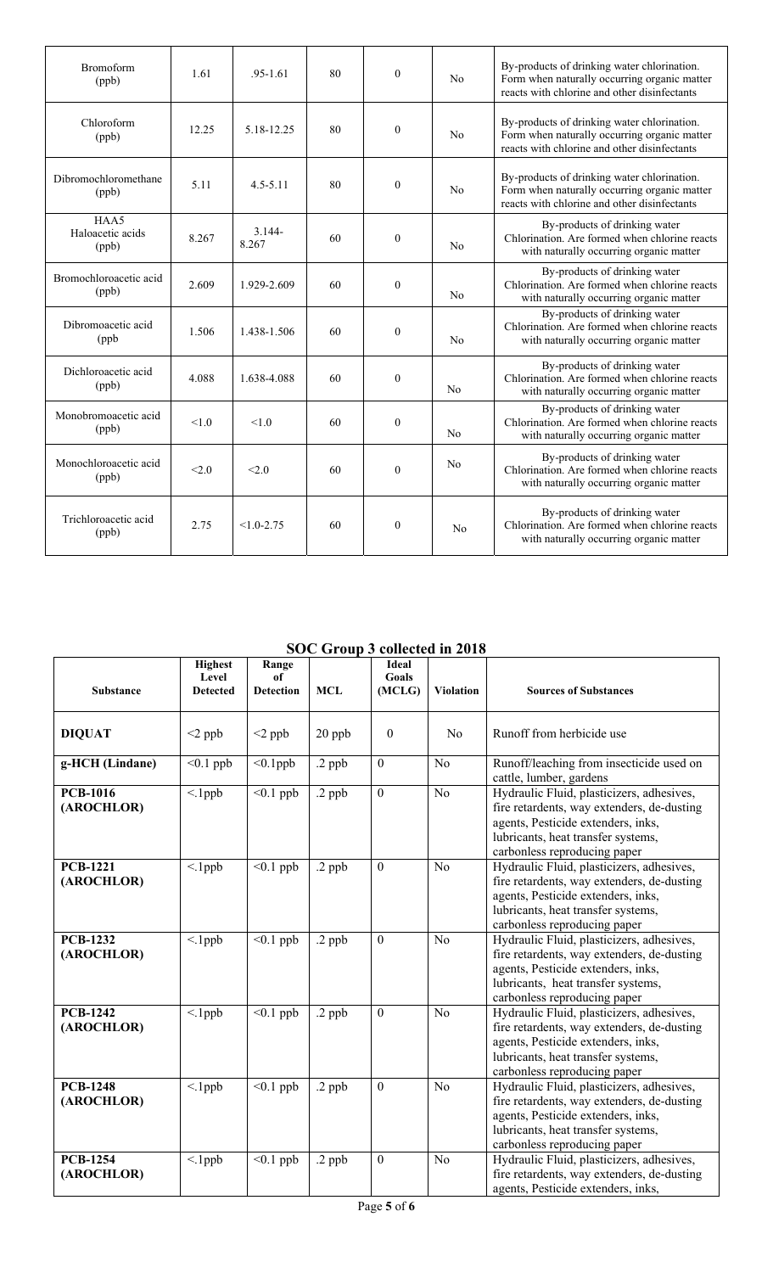| Bromoform<br>(ppb)                | 1.61  | $.95 - 1.61$       | 80 | $\Omega$     | No | By-products of drinking water chlorination.<br>Form when naturally occurring organic matter<br>reacts with chlorine and other disinfectants |
|-----------------------------------|-------|--------------------|----|--------------|----|---------------------------------------------------------------------------------------------------------------------------------------------|
| Chloroform<br>(ppb)               | 12.25 | 5.18-12.25         | 80 | $\theta$     | No | By-products of drinking water chlorination.<br>Form when naturally occurring organic matter<br>reacts with chlorine and other disinfectants |
| Dibromochloromethane<br>(ppb)     | 5.11  | $4.5 - 5.11$       | 80 | $\theta$     | No | By-products of drinking water chlorination.<br>Form when naturally occurring organic matter<br>reacts with chlorine and other disinfectants |
| HAA5<br>Haloacetic acids<br>(ppb) | 8.267 | $3.144 -$<br>8.267 | 60 | $\theta$     | No | By-products of drinking water<br>Chlorination. Are formed when chlorine reacts<br>with naturally occurring organic matter                   |
| Bromochloroacetic acid<br>(ppb)   | 2.609 | 1.929-2.609        | 60 | $\theta$     | No | By-products of drinking water<br>Chlorination. Are formed when chlorine reacts<br>with naturally occurring organic matter                   |
| Dibromoacetic acid<br>(ppb)       | 1.506 | 1.438-1.506        | 60 | $\theta$     | No | By-products of drinking water<br>Chlorination. Are formed when chlorine reacts<br>with naturally occurring organic matter                   |
| Dichloroacetic acid<br>(ppb)      | 4.088 | 1.638-4.088        | 60 | $\mathbf{0}$ | No | By-products of drinking water<br>Chlorination. Are formed when chlorine reacts<br>with naturally occurring organic matter                   |
| Monobromoacetic acid<br>(ppb)     | 1.0   | 1.0                | 60 | $\mathbf{0}$ | No | By-products of drinking water<br>Chlorination. Are formed when chlorine reacts<br>with naturally occurring organic matter                   |
| Monochloroacetic acid<br>(ppb)    | < 2.0 | < 2.0              | 60 | $\Omega$     | No | By-products of drinking water<br>Chlorination. Are formed when chlorine reacts<br>with naturally occurring organic matter                   |
| Trichloroacetic acid<br>(ppb)     | 2.75  | $<1.0 - 2.75$      | 60 | $\theta$     | No | By-products of drinking water<br>Chlorination. Are formed when chlorine reacts<br>with naturally occurring organic matter                   |

#### **SOC Group 3 collected in 2018**

| <b>Substance</b>              | <b>Highest</b><br>Level<br><b>Detected</b> | Range<br>of<br><b>Detection</b> | <b>MCL</b> | <b>Ideal</b><br><b>Goals</b><br>(MCLG) | <b>Violation</b> | <b>Sources of Substances</b>                                                                                                                                                                        |
|-------------------------------|--------------------------------------------|---------------------------------|------------|----------------------------------------|------------------|-----------------------------------------------------------------------------------------------------------------------------------------------------------------------------------------------------|
| <b>DIQUAT</b>                 | $<$ 2 ppb                                  | $<$ 2 ppb                       | 20 ppb     | $\theta$                               | N <sub>0</sub>   | Runoff from herbicide use                                                                                                                                                                           |
| g-HCH (Lindane)               | $< 0.1$ ppb                                | $< 0.1$ ppb                     | .2 ppb     | $\mathbf{0}$                           | N <sub>0</sub>   | Runoff/leaching from insecticide used on<br>cattle, lumber, gardens                                                                                                                                 |
| <b>PCB-1016</b><br>(AROCHLOR) | $\leq$ 1ppb                                | $\leq 0.1$ ppb                  | .2 ppb     | $\boldsymbol{0}$                       | N <sub>o</sub>   | Hydraulic Fluid, plasticizers, adhesives,<br>fire retardents, way extenders, de-dusting<br>agents, Pesticide extenders, inks,<br>lubricants, heat transfer systems,<br>carbonless reproducing paper |
| <b>PCB-1221</b><br>(AROCHLOR) | $\leq$ 1ppb                                | $< 0.1$ ppb                     | $.2$ ppb   | $\mathbf{0}$                           | N <sub>0</sub>   | Hydraulic Fluid, plasticizers, adhesives,<br>fire retardents, way extenders, de-dusting<br>agents, Pesticide extenders, inks,<br>lubricants, heat transfer systems,<br>carbonless reproducing paper |
| <b>PCB-1232</b><br>(AROCHLOR) | $\leq$ 1ppb                                | $< 0.1$ ppb                     | $.2$ ppb   | $\overline{0}$                         | N <sub>0</sub>   | Hydraulic Fluid, plasticizers, adhesives,<br>fire retardents, way extenders, de-dusting<br>agents, Pesticide extenders, inks,<br>lubricants, heat transfer systems,<br>carbonless reproducing paper |
| <b>PCB-1242</b><br>(AROCHLOR) | $<$ .1ppb                                  | $< 0.1$ ppb                     | $.2$ ppb   | $\overline{0}$                         | N <sub>0</sub>   | Hydraulic Fluid, plasticizers, adhesives,<br>fire retardents, way extenders, de-dusting<br>agents, Pesticide extenders, inks,<br>lubricants, heat transfer systems,<br>carbonless reproducing paper |
| <b>PCB-1248</b><br>(AROCHLOR) | $<$ .1ppb                                  | $\leq 0.1$ ppb                  | .2 ppb     | $\mathbf{0}$                           | No               | Hydraulic Fluid, plasticizers, adhesives,<br>fire retardents, way extenders, de-dusting<br>agents, Pesticide extenders, inks,<br>lubricants, heat transfer systems,<br>carbonless reproducing paper |
| <b>PCB-1254</b><br>(AROCHLOR) | $\leq$ 1ppb                                | $\leq 0.1$ ppb                  | .2 ppb     | $\overline{0}$                         | N <sub>0</sub>   | Hydraulic Fluid, plasticizers, adhesives,<br>fire retardents, way extenders, de-dusting<br>agents, Pesticide extenders, inks,                                                                       |